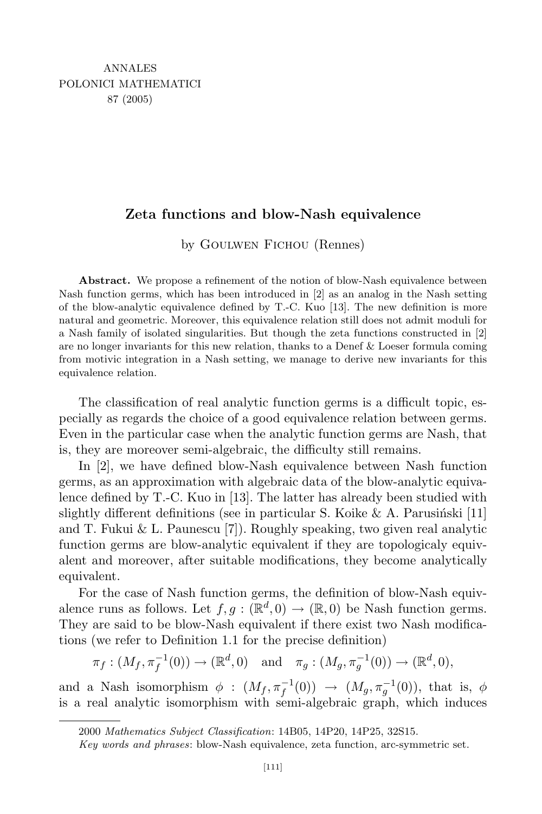# Zeta functions and blow-Nash equivalence

by Goulwen Fichou (Rennes)

Abstract. We propose a refinement of the notion of blow-Nash equivalence between Nash function germs, which has been introduced in [2] as an analog in the Nash setting of the blow-analytic equivalence defined by T.-C. Kuo [13]. The new definition is more natural and geometric. Moreover, this equivalence relation still does not admit moduli for a Nash family of isolated singularities. But though the zeta functions constructed in [2] are no longer invariants for this new relation, thanks to a Denef & Loeser formula coming from motivic integration in a Nash setting, we manage to derive new invariants for this equivalence relation.

The classification of real analytic function germs is a difficult topic, especially as regards the choice of a good equivalence relation between germs. Even in the particular case when the analytic function germs are Nash, that is, they are moreover semi-algebraic, the difficulty still remains.

In [2], we have defined blow-Nash equivalence between Nash function germs, as an approximation with algebraic data of the blow-analytic equivalence defined by T.-C. Kuo in [13]. The latter has already been studied with slightly different definitions (see in particular S. Koike  $\&$  A. Parusinski [11] and T. Fukui & L. Paunescu [7]). Roughly speaking, two given real analytic function germs are blow-analytic equivalent if they are topologicaly equivalent and moreover, after suitable modifications, they become analytically equivalent.

For the case of Nash function germs, the definition of blow-Nash equivalence runs as follows. Let  $f, g : (\mathbb{R}^d, 0) \to (\mathbb{R}, 0)$  be Nash function germs. They are said to be blow-Nash equivalent if there exist two Nash modifications (we refer to Definition 1.1 for the precise definition)

$$
\pi_f: (M_f, \pi_f^{-1}(0)) \to (\mathbb{R}^d, 0)
$$
 and  $\pi_g: (M_g, \pi_g^{-1}(0)) \to (\mathbb{R}^d, 0),$ 

and a Nash isomorphism  $\phi$  :  $(M_f, \pi_f^{-1}(0)) \rightarrow (M_g, \pi_g^{-1}(0))$ , that is,  $\phi$ is a real analytic isomorphism with semi-algebraic graph, which induces

<sup>2000</sup> Mathematics Subject Classification: 14B05, 14P20, 14P25, 32S15.

Key words and phrases: blow-Nash equivalence, zeta function, arc-symmetric set.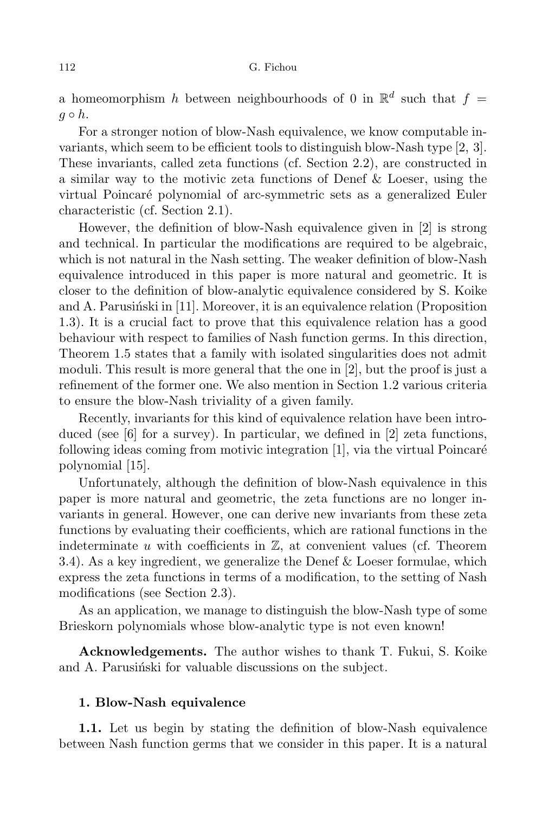a homeomorphism h between neighbourhoods of 0 in  $\mathbb{R}^d$  such that  $f =$  $q \circ h$ .

For a stronger notion of blow-Nash equivalence, we know computable invariants, which seem to be efficient tools to distinguish blow-Nash type [2, 3]. These invariants, called zeta functions (cf. Section 2.2), are constructed in a similar way to the motivic zeta functions of Denef & Loeser, using the virtual Poincar´e polynomial of arc-symmetric sets as a generalized Euler characteristic (cf. Section 2.1).

However, the definition of blow-Nash equivalence given in [2] is strong and technical. In particular the modifications are required to be algebraic, which is not natural in the Nash setting. The weaker definition of blow-Nash equivalence introduced in this paper is more natural and geometric. It is closer to the definition of blow-analytic equivalence considered by S. Koike and A. Parusinski in  $[11]$ . Moreover, it is an equivalence relation (Proposition 1.3). It is a crucial fact to prove that this equivalence relation has a good behaviour with respect to families of Nash function germs. In this direction, Theorem 1.5 states that a family with isolated singularities does not admit moduli. This result is more general that the one in [2], but the proof is just a refinement of the former one. We also mention in Section 1.2 various criteria to ensure the blow-Nash triviality of a given family.

Recently, invariants for this kind of equivalence relation have been introduced (see [6] for a survey). In particular, we defined in [2] zeta functions, following ideas coming from motivic integration [1], via the virtual Poincaré polynomial [15].

Unfortunately, although the definition of blow-Nash equivalence in this paper is more natural and geometric, the zeta functions are no longer invariants in general. However, one can derive new invariants from these zeta functions by evaluating their coefficients, which are rational functions in the indeterminate u with coefficients in  $\mathbb{Z}$ , at convenient values (cf. Theorem 3.4). As a key ingredient, we generalize the Denef & Loeser formulae, which express the zeta functions in terms of a modification, to the setting of Nash modifications (see Section 2.3).

As an application, we manage to distinguish the blow-Nash type of some Brieskorn polynomials whose blow-analytic type is not even known!

Acknowledgements. The author wishes to thank T. Fukui, S. Koike and A. Parusinski for valuable discussions on the subject.

## 1. Blow-Nash equivalence

1.1. Let us begin by stating the definition of blow-Nash equivalence between Nash function germs that we consider in this paper. It is a natural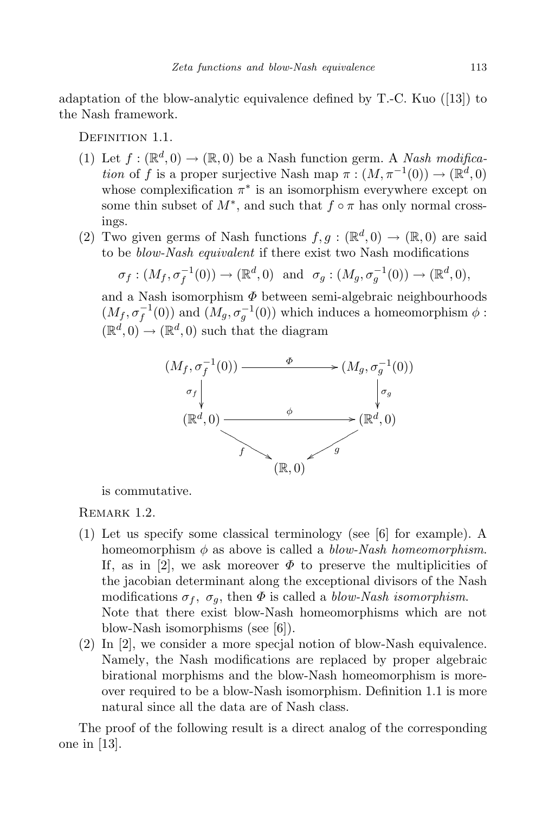adaptation of the blow-analytic equivalence defined by  $T.-C$ . Kuo  $([13])$  to the Nash framework.

DEFINITION 1.1.

- (1) Let  $f: (\mathbb{R}^d, 0) \to (\mathbb{R}, 0)$  be a Nash function germ. A Nash modification of f is a proper surjective Nash map  $\pi : (M, \pi^{-1}(0)) \to (\mathbb{R}^d, 0)$ whose complexification  $\pi^*$  is an isomorphism everywhere except on some thin subset of  $M^*$ , and such that  $f \circ \pi$  has only normal crossings.
- (2) Two given germs of Nash functions  $f, g : (\mathbb{R}^d, 0) \to (\mathbb{R}, 0)$  are said to be blow-Nash equivalent if there exist two Nash modifications

 $\sigma_f: (M_f, \sigma_f^{-1}(0)) \to (\mathbb{R}^d, 0) \text{ and } \sigma_g: (M_g, \sigma_g^{-1}(0)) \to (\mathbb{R}^d, 0),$ 

and a Nash isomorphism  $\Phi$  between semi-algebraic neighbourhoods  $(M_f, \sigma_f^{-1}(0))$  and  $(M_g, \sigma_g^{-1}(0))$  which induces a homeomorphism  $\phi$ :  $(\mathbb{R}^d, 0) \to (\mathbb{R}^d, 0)$  such that the diagram



is commutative.

REMARK 1.2.

- (1) Let us specify some classical terminology (see [6] for example). A homeomorphism  $\phi$  as above is called a *blow-Nash homeomorphism*. If, as in [2], we ask moreover  $\Phi$  to preserve the multiplicities of the jacobian determinant along the exceptional divisors of the Nash modifications  $\sigma_f$ ,  $\sigma_g$ , then  $\Phi$  is called a *blow-Nash isomorphism*. Note that there exist blow-Nash homeomorphisms which are not blow-Nash isomorphisms (see [6]).
- (2) In [2], we consider a more specjal notion of blow-Nash equivalence. Namely, the Nash modifications are replaced by proper algebraic birational morphisms and the blow-Nash homeomorphism is moreover required to be a blow-Nash isomorphism. Definition 1.1 is more natural since all the data are of Nash class.

The proof of the following result is a direct analog of the corresponding one in [13].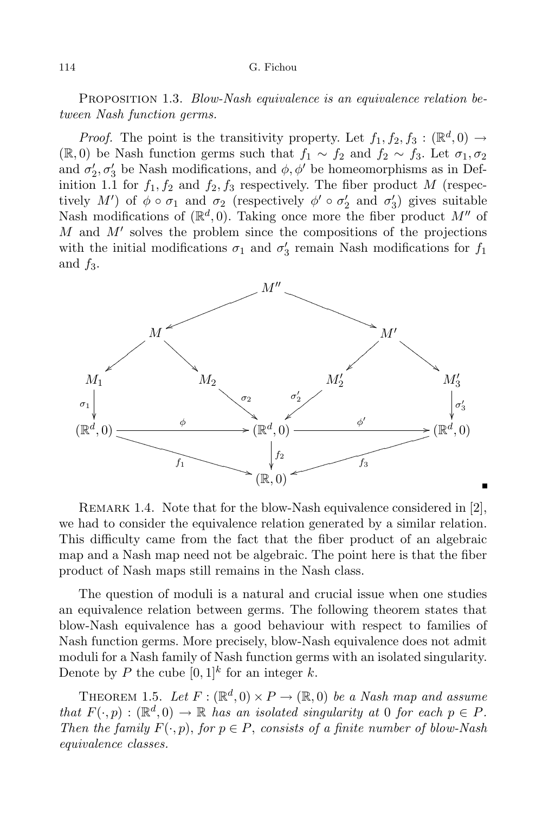PROPOSITION 1.3. Blow-Nash equivalence is an equivalence relation between Nash function germs.

*Proof.* The point is the transitivity property. Let  $f_1, f_2, f_3 : (\mathbb{R}^d, 0) \to$ (R, 0) be Nash function germs such that  $f_1 \sim f_2$  and  $f_2 \sim f_3$ . Let  $\sigma_1, \sigma_2$ and  $\sigma'_2, \sigma'_3$  be Nash modifications, and  $\phi, \phi'$  be homeomorphisms as in Definition 1.1 for  $f_1, f_2$  and  $f_2, f_3$  respectively. The fiber product M (respectively M') of  $\phi \circ \sigma_1$  and  $\sigma_2$  (respectively  $\phi' \circ \sigma_2'$  and  $\sigma_3'$ ) gives suitable Nash modifications of  $(\mathbb{R}^d, 0)$ . Taking once more the fiber product M'' of M and M' solves the problem since the compositions of the projections with the initial modifications  $\sigma_1$  and  $\sigma'_3$  remain Nash modifications for  $f_1$ and  $f_3$ .



REMARK 1.4. Note that for the blow-Nash equivalence considered in [2], we had to consider the equivalence relation generated by a similar relation. This difficulty came from the fact that the fiber product of an algebraic map and a Nash map need not be algebraic. The point here is that the fiber product of Nash maps still remains in the Nash class.

The question of moduli is a natural and crucial issue when one studies an equivalence relation between germs. The following theorem states that blow-Nash equivalence has a good behaviour with respect to families of Nash function germs. More precisely, blow-Nash equivalence does not admit moduli for a Nash family of Nash function germs with an isolated singularity. Denote by P the cube  $[0,1]^k$  for an integer k.

THEOREM 1.5. Let  $F: (\mathbb{R}^d, 0) \times P \to (\mathbb{R}, 0)$  be a Nash map and assume that  $F(\cdot, p) : (\mathbb{R}^d, 0) \to \mathbb{R}$  has an isolated singularity at 0 for each  $p \in P$ . Then the family  $F(\cdot, p)$ , for  $p \in P$ , consists of a finite number of blow-Nash equivalence classes.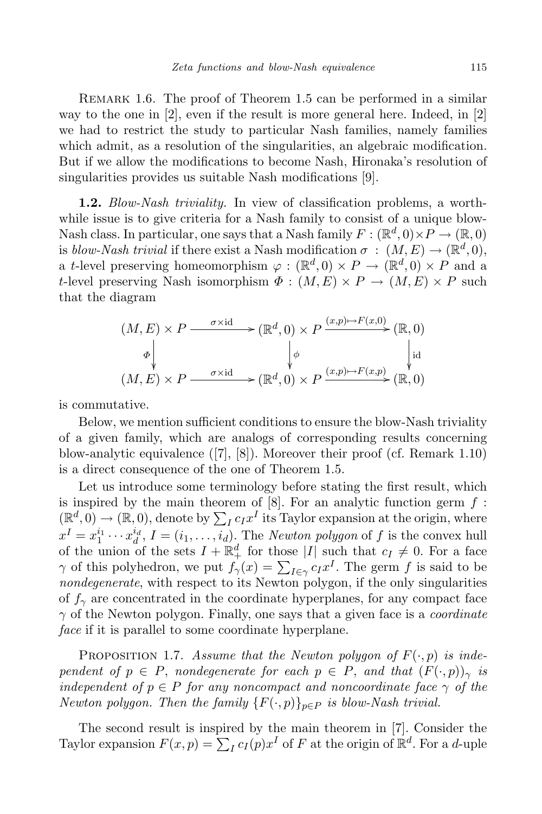Remark 1.6. The proof of Theorem 1.5 can be performed in a similar way to the one in [2], even if the result is more general here. Indeed, in [2] we had to restrict the study to particular Nash families, namely families which admit, as a resolution of the singularities, an algebraic modification. But if we allow the modifications to become Nash, Hironaka's resolution of singularities provides us suitable Nash modifications [9].

1.2. Blow-Nash triviality. In view of classification problems, a worthwhile issue is to give criteria for a Nash family to consist of a unique blow-Nash class. In particular, one says that a Nash family  $F: (\mathbb{R}^d, 0) \times P \to (\mathbb{R}, 0)$ is blow-Nash trivial if there exist a Nash modification  $\sigma$  :  $(M, E) \rightarrow (\mathbb{R}^d, 0)$ , a t-level preserving homeomorphism  $\varphi : (\mathbb{R}^d, 0) \times P \to (\mathbb{R}^d, 0) \times P$  and a t-level preserving Nash isomorphism  $\Phi : (M, E) \times P \to (M, E) \times P$  such that the diagram

$$
(M, E) \times P \xrightarrow{\sigma \times \mathrm{id}} (\mathbb{R}^d, 0) \times P \xrightarrow{(x, p) \mapsto F(x, 0)} (\mathbb{R}, 0)
$$
  
\n
$$
\phi \downarrow \qquad \qquad \downarrow \phi \qquad \qquad \downarrow \mathrm{id}
$$
  
\n
$$
(M, E) \times P \xrightarrow{\sigma \times \mathrm{id}} (\mathbb{R}^d, 0) \times P \xrightarrow{(x, p) \mapsto F(x, p)} (\mathbb{R}, 0)
$$

is commutative.

Below, we mention sufficient conditions to ensure the blow-Nash triviality of a given family, which are analogs of corresponding results concerning blow-analytic equivalence ([7], [8]). Moreover their proof (cf. Remark 1.10) is a direct consequence of the one of Theorem 1.5.

Let us introduce some terminology before stating the first result, which is inspired by the main theorem of  $[8]$ . For an analytic function germ  $f$ :  $(\mathbb{R}^d, 0) \to (\mathbb{R}, 0)$ , denote by  $\sum_I c_I x^I$  its Taylor expansion at the origin, where  $x^I = x_1^{i_1} \cdots x_d^{i_d}, I = (i_1, \ldots, i_d)$ . The *Newton polygon* of f is the convex hull of the union of the sets  $I + \mathbb{R}^d_+$  for those |I| such that  $c_I \neq 0$ . For a face  $\gamma$  of this polyhedron, we put  $f_{\gamma}(x) = \sum_{I \in \gamma} c_I x^I$ . The germ f is said to be nondegenerate, with respect to its Newton polygon, if the only singularities of  $f_{\gamma}$  are concentrated in the coordinate hyperplanes, for any compact face  $\gamma$  of the Newton polygon. Finally, one says that a given face is a *coordinate* face if it is parallel to some coordinate hyperplane.

PROPOSITION 1.7. Assume that the Newton polygon of  $F(\cdot, p)$  is independent of  $p \in P$ , nondegenerate for each  $p \in P$ , and that  $(F(\cdot, p))_{\gamma}$  is independent of  $p \in P$  for any noncompact and noncoordinate face  $\gamma$  of the Newton polygon. Then the family  $\{F(\cdot,p)\}_{p\in P}$  is blow-Nash trivial.

The second result is inspired by the main theorem in [7]. Consider the Taylor expansion  $F(x, p) = \sum_I c_I(p) x^I$  of F at the origin of  $\mathbb{R}^d$ . For a d-uple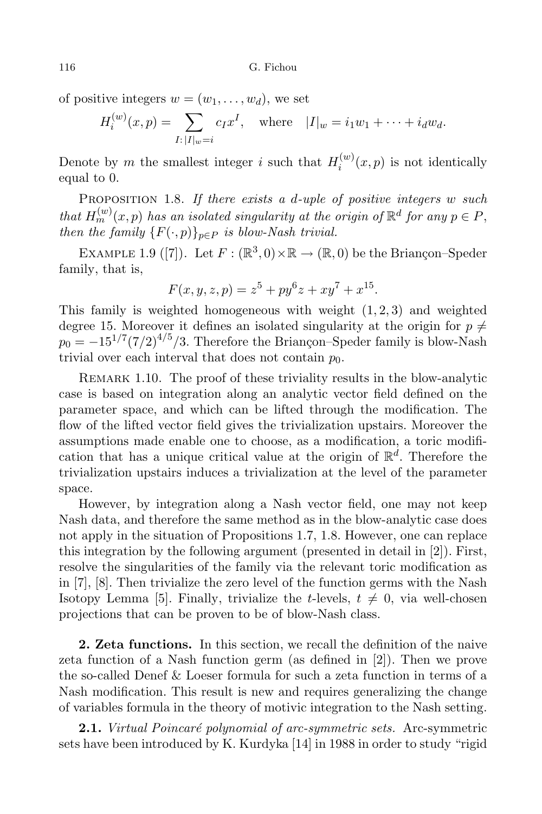of positive integers  $w = (w_1, \ldots, w_d)$ , we set

$$
H_i^{(w)}(x,p) = \sum_{I:\,|I|_w=i} c_I x^I, \quad \text{where} \quad |I|_w = i_1 w_1 + \dots + i_d w_d.
$$

Denote by m the smallest integer i such that  $H_i^{(w)}$  $i^{(w)}(x,p)$  is not identically equal to 0.

PROPOSITION 1.8. If there exists a d-uple of positive integers  $w$  such that  $H_m^{(w)}(x,p)$  has an isolated singularity at the origin of  $\mathbb{R}^d$  for any  $p \in P$ , then the family  $\{F(\cdot,p)\}_{p\in P}$  is blow-Nash trivial.

EXAMPLE 1.9 ([7]). Let  $F: (\mathbb{R}^3, 0) \times \mathbb{R} \to (\mathbb{R}, 0)$  be the Briançon-Speder family, that is,

$$
F(x, y, z, p) = z5 + py6z + xy7 + x15.
$$

This family is weighted homogeneous with weight  $(1, 2, 3)$  and weighted degree 15. Moreover it defines an isolated singularity at the origin for  $p \neq$  $p_0 = -15^{1/7} (7/2)^{4/5} / 3$ . Therefore the Briançon–Speder family is blow-Nash trivial over each interval that does not contain  $p_0$ .

REMARK 1.10. The proof of these triviality results in the blow-analytic case is based on integration along an analytic vector field defined on the parameter space, and which can be lifted through the modification. The flow of the lifted vector field gives the trivialization upstairs. Moreover the assumptions made enable one to choose, as a modification, a toric modification that has a unique critical value at the origin of  $\mathbb{R}^d$ . Therefore the trivialization upstairs induces a trivialization at the level of the parameter space.

However, by integration along a Nash vector field, one may not keep Nash data, and therefore the same method as in the blow-analytic case does not apply in the situation of Propositions 1.7, 1.8. However, one can replace this integration by the following argument (presented in detail in [2]). First, resolve the singularities of the family via the relevant toric modification as in [7], [8]. Then trivialize the zero level of the function germs with the Nash Isotopy Lemma [5]. Finally, trivialize the t-levels,  $t \neq 0$ , via well-chosen projections that can be proven to be of blow-Nash class.

2. Zeta functions. In this section, we recall the definition of the naive zeta function of a Nash function germ (as defined in [2]). Then we prove the so-called Denef & Loeser formula for such a zeta function in terms of a Nash modification. This result is new and requires generalizing the change of variables formula in the theory of motivic integration to the Nash setting.

**2.1.** Virtual Poincaré polynomial of arc-symmetric sets. Arc-symmetric sets have been introduced by K. Kurdyka [14] in 1988 in order to study "rigid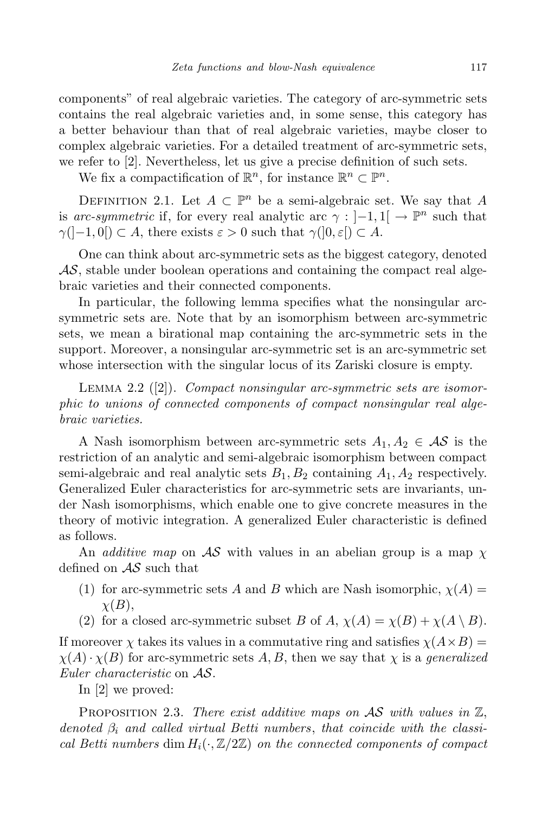components" of real algebraic varieties. The category of arc-symmetric sets contains the real algebraic varieties and, in some sense, this category has a better behaviour than that of real algebraic varieties, maybe closer to complex algebraic varieties. For a detailed treatment of arc-symmetric sets, we refer to [2]. Nevertheless, let us give a precise definition of such sets.

We fix a compactification of  $\mathbb{R}^n$ , for instance  $\mathbb{R}^n \subset \mathbb{P}^n$ .

DEFINITION 2.1. Let  $A \subset \mathbb{P}^n$  be a semi-algebraic set. We say that A is arc-symmetric if, for every real analytic arc  $\gamma : ]-1,1[ \rightarrow \mathbb{P}^n$  such that  $\gamma$ (|-1, 0[) ⊂ A, there exists  $\varepsilon > 0$  such that  $\gamma$ (|0,  $\varepsilon$ [) ⊂ A.

One can think about arc-symmetric sets as the biggest category, denoted  $\mathcal{AS}$ , stable under boolean operations and containing the compact real algebraic varieties and their connected components.

In particular, the following lemma specifies what the nonsingular arcsymmetric sets are. Note that by an isomorphism between arc-symmetric sets, we mean a birational map containing the arc-symmetric sets in the support. Moreover, a nonsingular arc-symmetric set is an arc-symmetric set whose intersection with the singular locus of its Zariski closure is empty.

LEMMA 2.2  $([2])$ . Compact nonsingular arc-symmetric sets are isomorphic to unions of connected components of compact nonsingular real algebraic varieties.

A Nash isomorphism between arc-symmetric sets  $A_1, A_2 \in \mathcal{AS}$  is the restriction of an analytic and semi-algebraic isomorphism between compact semi-algebraic and real analytic sets  $B_1, B_2$  containing  $A_1, A_2$  respectively. Generalized Euler characteristics for arc-symmetric sets are invariants, under Nash isomorphisms, which enable one to give concrete measures in the theory of motivic integration. A generalized Euler characteristic is defined as follows.

An *additive map* on  $\mathcal{A}\mathcal{S}$  with values in an abelian group is a map  $\chi$ defined on  $AS$  such that

- (1) for arc-symmetric sets A and B which are Nash isomorphic,  $\chi(A)$  =  $\chi(B)$ ,
- (2) for a closed arc-symmetric subset B of A,  $\chi(A) = \chi(B) + \chi(A \setminus B)$ .

If moreover  $\chi$  takes its values in a commutative ring and satisfies  $\chi(A\times B)$  =  $\chi(A)\cdot \chi(B)$  for arc-symmetric sets A, B, then we say that  $\chi$  is a generalized Euler characteristic on AS.

In [2] we proved:

PROPOSITION 2.3. There exist additive maps on  $AS$  with values in  $\mathbb{Z}$ , denoted  $\beta_i$  and called virtual Betti numbers, that coincide with the classical Betti numbers dim  $H_i(\cdot, \mathbb{Z}/2\mathbb{Z})$  on the connected components of compact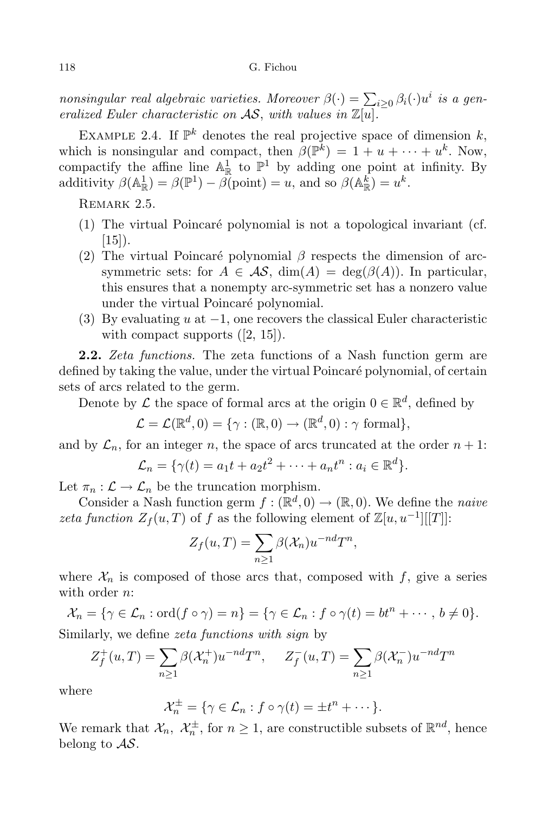nonsingular real algebraic varieties. Moreover  $\beta(\cdot) = \sum_{i\geq 0} \beta_i(\cdot) u^i$  is a generalized Euler characteristic on  $\mathcal{AS}$ , with values in  $\mathbb{Z}[u]$ .

EXAMPLE 2.4. If  $\mathbb{P}^k$  denotes the real projective space of dimension k, which is nonsingular and compact, then  $\beta(\mathbb{P}^k) = 1 + u + \cdots + u^k$ . Now, compactify the affine line  $\mathbb{A}^1_{\mathbb{R}}$  to  $\mathbb{P}^1$  by adding one point at infinity. By additivity  $\beta(\mathbb{A}_{\mathbb{R}}^1) = \beta(\mathbb{P}^1) - \beta(\text{point}) = u$ , and so  $\beta(\mathbb{A}_{\mathbb{R}}^k) = u^k$ .

REMARK 2.5.

- (1) The virtual Poincar´e polynomial is not a topological invariant (cf.  $|15|$ ).
- (2) The virtual Poincaré polynomial  $\beta$  respects the dimension of arcsymmetric sets: for  $A \in \mathcal{AS}$ , dim(A) = deg( $\beta(A)$ ). In particular, this ensures that a nonempty arc-symmetric set has a nonzero value under the virtual Poincaré polynomial.
- (3) By evaluating u at  $-1$ , one recovers the classical Euler characteristic with compact supports  $([2, 15])$ .

2.2. Zeta functions. The zeta functions of a Nash function germ are defined by taking the value, under the virtual Poincaré polynomial, of certain sets of arcs related to the germ.

Denote by  $\mathcal L$  the space of formal arcs at the origin  $0 \in \mathbb{R}^d$ , defined by

$$
\mathcal{L} = \mathcal{L}(\mathbb{R}^d, 0) = \{ \gamma : (\mathbb{R}, 0) \to (\mathbb{R}^d, 0) : \gamma \text{ formal} \},
$$

and by  $\mathcal{L}_n$ , for an integer n, the space of arcs truncated at the order  $n+1$ :

$$
\mathcal{L}_n = \{ \gamma(t) = a_1 t + a_2 t^2 + \dots + a_n t^n : a_i \in \mathbb{R}^d \}.
$$

Let  $\pi_n : \mathcal{L} \to \mathcal{L}_n$  be the truncation morphism.

Consider a Nash function germ  $f : (\mathbb{R}^d, 0) \to (\mathbb{R}, 0)$ . We define the *naive* zeta function  $Z_f(u,T)$  of f as the following element of  $\mathbb{Z}[u, u^{-1}][[T]]$ :

$$
Z_f(u,T) = \sum_{n\geq 1} \beta(\mathcal{X}_n) u^{-nd} T^n,
$$

where  $\mathcal{X}_n$  is composed of those arcs that, composed with f, give a series with order *n*:

$$
\mathcal{X}_n = \{ \gamma \in \mathcal{L}_n : \text{ord}(f \circ \gamma) = n \} = \{ \gamma \in \mathcal{L}_n : f \circ \gamma(t) = bt^n + \cdots, b \neq 0 \}.
$$

Similarly, we define zeta functions with sign by

$$
Z_f^+(u,T) = \sum_{n \ge 1} \beta(\mathcal{X}_n^+) u^{-nd} T^n, \quad Z_f^-(u,T) = \sum_{n \ge 1} \beta(\mathcal{X}_n^-) u^{-nd} T^n
$$

where

$$
\mathcal{X}_n^{\pm} = \{ \gamma \in \mathcal{L}_n : f \circ \gamma(t) = \pm t^n + \cdots \}.
$$

We remark that  $\mathcal{X}_n$ ,  $\mathcal{X}_n^{\pm}$ , for  $n \geq 1$ , are constructible subsets of  $\mathbb{R}^{nd}$ , hence belong to AS.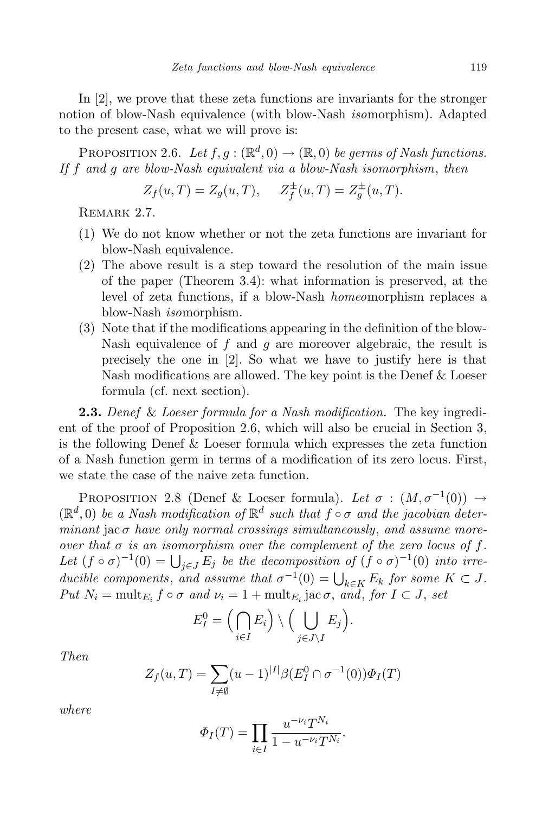In [2], we prove that these zeta functions are invariants for the stronger notion of blow-Nash equivalence (with blow-Nash isomorphism). Adapted to the present case, what we will prove is:

PROPOSITION 2.6. Let  $f, g : (\mathbb{R}^d, 0) \to (\mathbb{R}, 0)$  be germs of Nash functions. If  $f$  and  $g$  are blow-Nash equivalent via a blow-Nash isomorphism, then

$$
Z_f(u,T) = Z_g(u,T), \quad Z_f^{\pm}(u,T) = Z_g^{\pm}(u,T).
$$

REMARK 2.7.

- (1) We do not know whether or not the zeta functions are invariant for blow-Nash equivalence.
- (2) The above result is a step toward the resolution of the main issue of the paper (Theorem 3.4): what information is preserved, at the level of zeta functions, if a blow-Nash homeomorphism replaces a blow-Nash isomorphism.
- (3) Note that if the modifications appearing in the definition of the blow-Nash equivalence of f and q are moreover algebraic, the result is precisely the one in [2]. So what we have to justify here is that Nash modifications are allowed. The key point is the Denef & Loeser formula (cf. next section).

**2.3.** Denef & Loeser formula for a Nash modification. The key ingredient of the proof of Proposition 2.6, which will also be crucial in Section 3, is the following Denef & Loeser formula which expresses the zeta function of a Nash function germ in terms of a modification of its zero locus. First, we state the case of the naive zeta function.

PROPOSITION 2.8 (Denef & Loeser formula). Let  $\sigma$  :  $(M, \sigma^{-1}(0)) \rightarrow$  $(\mathbb{R}^d, 0)$  be a Nash modification of  $\mathbb{R}^d$  such that  $f \circ \sigma$  and the jacobian determinant jac $\sigma$  have only normal crossings simultaneously, and assume moreover that  $\sigma$  is an isomorphism over the complement of the zero locus of f. Let  $(f \circ \sigma)^{-1}(0) = \bigcup_{j \in J} E_j$  be the decomposition of  $(f \circ \sigma)^{-1}(0)$  into irreducible components, and assume that  $\sigma^{-1}(0) = \bigcup_{k \in K} E_k$  for some  $K \subset J$ . Put  $N_i = \text{mult}_{E_i} f \circ \sigma$  and  $\nu_i = 1 + \text{mult}_{E_i} \text{jac } \sigma$ , and, for  $I \subset J$ , set

$$
E_I^0 = \Big(\bigcap_{i\in I} E_i\Big) \setminus \Big(\bigcup_{j\in J\setminus I} E_j\Big).
$$

Then

$$
Z_f(u,T) = \sum_{I \neq \emptyset} (u-1)^{|I|} \beta(E_I^0 \cap \sigma^{-1}(0)) \Phi_I(T)
$$

where

$$
\Phi_I(T) = \prod_{i \in I} \frac{u^{-\nu_i} T^{N_i}}{1 - u^{-\nu_i} T^{N_i}}.
$$

Ni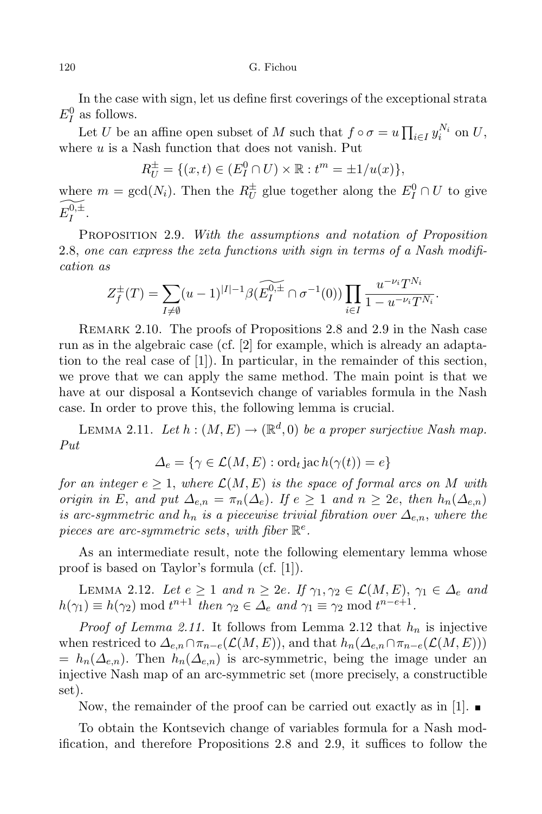In the case with sign, let us define first coverings of the exceptional strata  $E_I^0$  as follows.

Let U be an affine open subset of M such that  $f \circ \sigma = u \prod_{i \in I} y_i^{N_i}$  on U, where  $u$  is a Nash function that does not vanish. Put

$$
R_U^{\pm} = \{ (x, t) \in (E_I^0 \cap U) \times \mathbb{R} : t^m = \pm 1/u(x) \},\
$$

where  $m = \gcd(N_i)$ . Then the  $R_U^{\pm}$  $U^{\pm}_{U}$  glue together along the  $E^{0}_{I} \cap U$  to give  $\widetilde{E_I^{0,\pm}}$ .

Proposition 2.9. With the assumptions and notation of Proposition 2.8, one can express the zeta functions with sign in terms of a Nash modification as

$$
Z_f^{\pm}(T) = \sum_{I \neq \emptyset} (u-1)^{|I|-1} \beta(\widetilde{E_I^{0,\pm}} \cap \sigma^{-1}(0)) \prod_{i \in I} \frac{u^{-\nu_i} T^{N_i}}{1 - u^{-\nu_i} T^{N_i}}.
$$

REMARK 2.10. The proofs of Propositions 2.8 and 2.9 in the Nash case run as in the algebraic case (cf. [2] for example, which is already an adaptation to the real case of [1]). In particular, in the remainder of this section, we prove that we can apply the same method. The main point is that we have at our disposal a Kontsevich change of variables formula in the Nash case. In order to prove this, the following lemma is crucial.

LEMMA 2.11. Let  $h:(M, E) \to (\mathbb{R}^d, 0)$  be a proper surjective Nash map. Put

$$
\Delta_e = \{ \gamma \in \mathcal{L}(M, E) : \text{ord}_t \, \text{jac} \, h(\gamma(t)) = e \}
$$

for an integer  $e \geq 1$ , where  $\mathcal{L}(M, E)$  is the space of formal arcs on M with origin in E, and put  $\Delta_{e,n} = \pi_n(\Delta_e)$ . If  $e \geq 1$  and  $n \geq 2e$ , then  $h_n(\Delta_{e,n})$ is arc-symmetric and  $h_n$  is a piecewise trivial fibration over  $\Delta_{e,n}$ , where the pieces are arc-symmetric sets, with fiber  $\mathbb{R}^e$ .

As an intermediate result, note the following elementary lemma whose proof is based on Taylor's formula (cf. [1]).

LEMMA 2.12. Let  $e \geq 1$  and  $n \geq 2e$ . If  $\gamma_1, \gamma_2 \in \mathcal{L}(M, E)$ ,  $\gamma_1 \in \Delta_e$  and  $h(\gamma_1) \equiv h(\gamma_2) \bmod t^{n+1}$  then  $\gamma_2 \in \Delta_e$  and  $\gamma_1 \equiv \gamma_2 \bmod t^{n-e+1}$ .

*Proof of Lemma 2.11.* It follows from Lemma 2.12 that  $h_n$  is injective when restriced to  $\Delta_{e,n} \cap \pi_{n-e}(\mathcal{L}(M,E))$ , and that  $h_n(\Delta_{e,n} \cap \pi_{n-e}(\mathcal{L}(M,E)))$  $= h_n(\Delta_{e,n})$ . Then  $h_n(\Delta_{e,n})$  is arc-symmetric, being the image under an injective Nash map of an arc-symmetric set (more precisely, a constructible set).

Now, the remainder of the proof can be carried out exactly as in [1].  $\blacksquare$ 

To obtain the Kontsevich change of variables formula for a Nash modification, and therefore Propositions 2.8 and 2.9, it suffices to follow the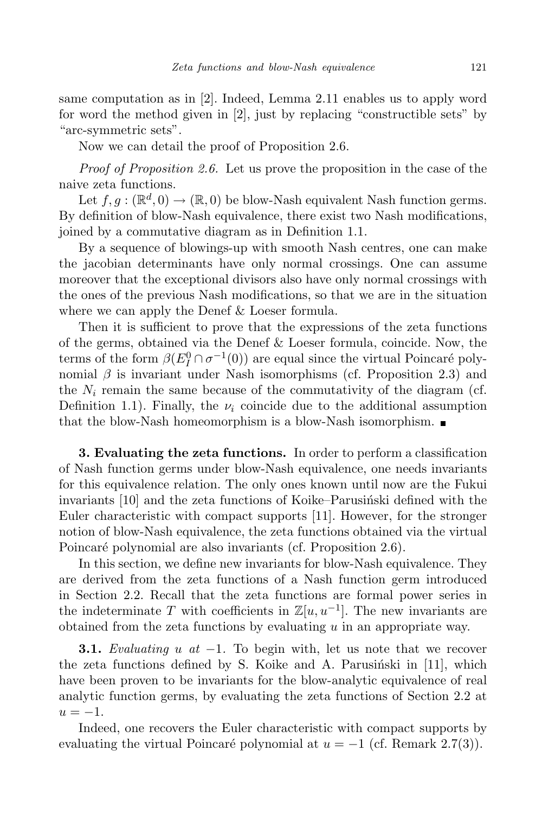same computation as in [2]. Indeed, Lemma 2.11 enables us to apply word for word the method given in [2], just by replacing "constructible sets" by "arc-symmetric sets".

Now we can detail the proof of Proposition 2.6.

Proof of Proposition 2.6. Let us prove the proposition in the case of the naive zeta functions.

Let  $f, g: (\mathbb{R}^d, 0) \to (\mathbb{R}, 0)$  be blow-Nash equivalent Nash function germs. By definition of blow-Nash equivalence, there exist two Nash modifications, joined by a commutative diagram as in Definition 1.1.

By a sequence of blowings-up with smooth Nash centres, one can make the jacobian determinants have only normal crossings. One can assume moreover that the exceptional divisors also have only normal crossings with the ones of the previous Nash modifications, so that we are in the situation where we can apply the Denef & Loeser formula.

Then it is sufficient to prove that the expressions of the zeta functions of the germs, obtained via the Denef & Loeser formula, coincide. Now, the terms of the form  $\beta(E_I^0 \cap \sigma^{-1}(0))$  are equal since the virtual Poincaré polynomial  $\beta$  is invariant under Nash isomorphisms (cf. Proposition 2.3) and the  $N_i$  remain the same because of the commutativity of the diagram (cf. Definition 1.1). Finally, the  $\nu_i$  coincide due to the additional assumption that the blow-Nash homeomorphism is a blow-Nash isomorphism.

3. Evaluating the zeta functions. In order to perform a classification of Nash function germs under blow-Nash equivalence, one needs invariants for this equivalence relation. The only ones known until now are the Fukui invariants  $[10]$  and the zeta functions of Koike–Parusinski defined with the Euler characteristic with compact supports [11]. However, for the stronger notion of blow-Nash equivalence, the zeta functions obtained via the virtual Poincaré polynomial are also invariants (cf. Proposition 2.6).

In this section, we define new invariants for blow-Nash equivalence. They are derived from the zeta functions of a Nash function germ introduced in Section 2.2. Recall that the zeta functions are formal power series in the indeterminate T with coefficients in  $\mathbb{Z}[u, u^{-1}]$ . The new invariants are obtained from the zeta functions by evaluating  $u$  in an appropriate way.

**3.1.** Evaluating u at  $-1$ . To begin with, let us note that we recover the zeta functions defined by S. Koike and A. Parusinski in [11], which have been proven to be invariants for the blow-analytic equivalence of real analytic function germs, by evaluating the zeta functions of Section 2.2 at  $u = -1$ .

Indeed, one recovers the Euler characteristic with compact supports by evaluating the virtual Poincaré polynomial at  $u = -1$  (cf. Remark 2.7(3)).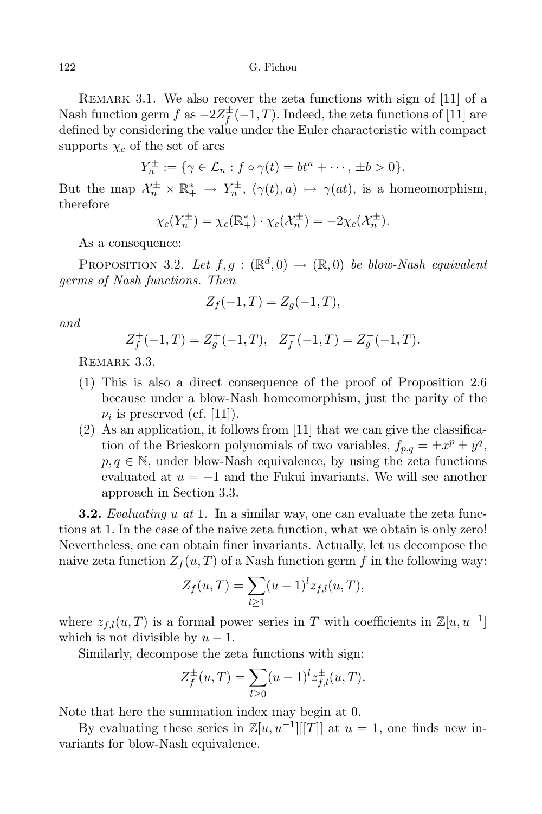REMARK 3.1. We also recover the zeta functions with sign of  $|11|$  of a Nash function germ f as  $-2Z_f^{\pm}$  $f^{\pm}(-1,T)$ . Indeed, the zeta functions of [11] are defined by considering the value under the Euler characteristic with compact supports  $\chi_c$  of the set of arcs

$$
Y_n^{\pm} := \{ \gamma \in \mathcal{L}_n : f \circ \gamma(t) = bt^n + \cdots, \pm b > 0 \}.
$$

But the map  $\mathcal{X}_n^{\pm} \times \mathbb{R}_+^* \to Y_n^{\pm}$ ,  $(\gamma(t), a) \mapsto \gamma(at)$ , is a homeomorphism, therefore

$$
\chi_c(Y_n^{\pm}) = \chi_c(\mathbb{R}_+^*) \cdot \chi_c(\mathcal{X}_n^{\pm}) = -2\chi_c(\mathcal{X}_n^{\pm}).
$$

As a consequence:

**PROPOSITION** 3.2. Let  $f, g : (\mathbb{R}^d, 0) \to (\mathbb{R}, 0)$  be blow-Nash equivalent germs of Nash functions. Then

$$
Z_f(-1,T) = Z_g(-1,T),
$$

and

$$
Z_f^+(-1,T) = Z_g^+(-1,T), \quad Z_f^-(-1,T) = Z_g^-(-1,T).
$$

REMARK 3.3.

- (1) This is also a direct consequence of the proof of Proposition 2.6 because under a blow-Nash homeomorphism, just the parity of the  $\nu_i$  is preserved (cf. [11]).
- (2) As an application, it follows from [11] that we can give the classification of the Brieskorn polynomials of two variables,  $f_{p,q} = \pm x^p \pm y^q$ ,  $p, q \in \mathbb{N}$ , under blow-Nash equivalence, by using the zeta functions evaluated at  $u = -1$  and the Fukui invariants. We will see another approach in Section 3.3.

**3.2.** Evaluating u at 1. In a similar way, one can evaluate the zeta functions at 1. In the case of the naive zeta function, what we obtain is only zero! Nevertheless, one can obtain finer invariants. Actually, let us decompose the naive zeta function  $Z_f(u,T)$  of a Nash function germ f in the following way:

$$
Z_f(u,T) = \sum_{l \ge 1} (u-1)^l z_{f,l}(u,T),
$$

where  $z_{f,l}(u,T)$  is a formal power series in T with coefficients in  $\mathbb{Z}[u, u^{-1}]$ which is not divisible by  $u - 1$ .

Similarly, decompose the zeta functions with sign:

$$
Z_f^{\pm}(u,T) = \sum_{l \ge 0} (u-1)^l z_{f,l}^{\pm}(u,T).
$$

Note that here the summation index may begin at 0.

By evaluating these series in  $\mathbb{Z}[u, u^{-1}][[T]]$  at  $u = 1$ , one finds new invariants for blow-Nash equivalence.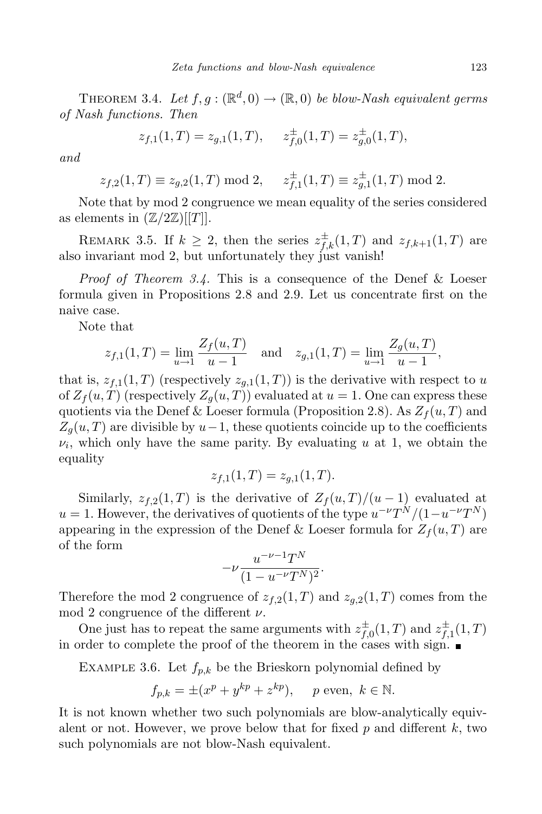THEOREM 3.4. Let  $f, g : (\mathbb{R}^d, 0) \to (\mathbb{R}, 0)$  be blow-Nash equivalent germs of Nash functions. Then

$$
z_{f,1}(1,T) = z_{g,1}(1,T), \quad z_{f,0}^{\pm}(1,T) = z_{g,0}^{\pm}(1,T),
$$

and

$$
z_{f,2}(1,T) \equiv z_{g,2}(1,T) \mod 2
$$
,  $z_{f,1}^{\pm}(1,T) \equiv z_{g,1}^{\pm}(1,T) \mod 2$ .

Note that by mod 2 congruence we mean equality of the series considered as elements in  $(\mathbb{Z}/2\mathbb{Z})[[T]]$ .

REMARK 3.5. If  $k \geq 2$ , then the series  $z_{f,k}^{\pm}(1,T)$  and  $z_{f,k+1}(1,T)$  are also invariant mod 2, but unfortunately they just vanish!

Proof of Theorem 3.4. This is a consequence of the Denef & Loeser formula given in Propositions 2.8 and 2.9. Let us concentrate first on the naive case.

Note that

$$
z_{f,1}(1,T) = \lim_{u \to 1} \frac{Z_f(u,T)}{u-1} \quad \text{and} \quad z_{g,1}(1,T) = \lim_{u \to 1} \frac{Z_g(u,T)}{u-1},
$$

that is,  $z_{f,1}(1,T)$  (respectively  $z_{g,1}(1,T)$ ) is the derivative with respect to u of  $Z_f(u,T)$  (respectively  $Z_g(u,T)$ ) evaluated at  $u=1$ . One can express these quotients via the Denef & Loeser formula (Proposition 2.8). As  $Z_f(u, T)$  and  $Z_g(u,T)$  are divisible by  $u-1$ , these quotients coincide up to the coefficients  $\nu_i$ , which only have the same parity. By evaluating u at 1, we obtain the equality

$$
z_{f,1}(1,T) = z_{g,1}(1,T).
$$

Similarly,  $z_{f,2}(1,T)$  is the derivative of  $Z_f(u,T)/(u-1)$  evaluated at  $u = 1$ . However, the derivatives of quotients of the type  $u^{-\nu}T^N/(1-u^{-\nu}T^N)$ appearing in the expression of the Denef & Loeser formula for  $Z_f(u,T)$  are of the form

$$
-\nu \frac{u^{-\nu-1}T^N}{(1-u^{-\nu}T^N)^2}.
$$

Therefore the mod 2 congruence of  $z_{f,2}(1,T)$  and  $z_{g,2}(1,T)$  comes from the mod 2 congruence of the different  $\nu$ .

One just has to repeat the same arguments with  $z_t^{\pm}$  $z_{f,0}^{\pm}(1,T)$  and  $z_{f,}^{\pm}$  $f_{,1}^{\pm}(1,T)$ in order to complete the proof of the theorem in the cases with sign.

EXAMPLE 3.6. Let  $f_{p,k}$  be the Brieskorn polynomial defined by

$$
f_{p,k} = \pm (x^p + y^{kp} + z^{kp}), \quad p \text{ even}, k \in \mathbb{N}.
$$

It is not known whether two such polynomials are blow-analytically equivalent or not. However, we prove below that for fixed  $p$  and different  $k$ , two such polynomials are not blow-Nash equivalent.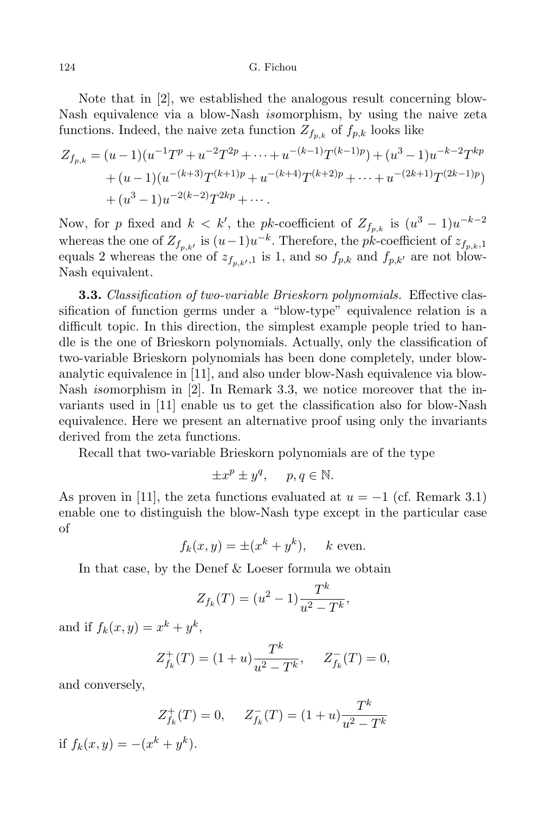Note that in [2], we established the analogous result concerning blow-Nash equivalence via a blow-Nash isomorphism, by using the naive zeta functions. Indeed, the naive zeta function  $Z_{f_{n,k}}$  of  $f_{p,k}$  looks like

$$
Z_{f_{p,k}} = (u-1)(u^{-1}T^p + u^{-2}T^{2p} + \dots + u^{-(k-1)}T^{(k-1)p}) + (u^3 - 1)u^{-k-2}T^{kp}
$$
  
+ 
$$
(u-1)(u^{-(k+3)}T^{(k+1)p} + u^{-(k+4)}T^{(k+2)p} + \dots + u^{-(2k+1)}T^{(2k-1)p})
$$
  
+ 
$$
(u^3 - 1)u^{-2(k-2)}T^{2kp} + \dots
$$

Now, for p fixed and  $k < k'$ , the pk-coefficient of  $Z_{f_{p,k}}$  is  $(u^3 - 1)u^{-k-2}$ whereas the one of  $Z_{f_{p,k'}}$  is  $(u-1)u^{-k}$ . Therefore, the *pk*-coefficient of  $z_{f_{p,k},1}$ equals 2 whereas the one of  $z_{f_{p,k'}},$  is 1, and so  $f_{p,k'}$  and  $f_{p,k'}$  are not blow-Nash equivalent.

**3.3.** Classification of two-variable Brieskorn polynomials. Effective classification of function germs under a "blow-type" equivalence relation is a difficult topic. In this direction, the simplest example people tried to handle is the one of Brieskorn polynomials. Actually, only the classification of two-variable Brieskorn polynomials has been done completely, under blowanalytic equivalence in [11], and also under blow-Nash equivalence via blow-Nash isomorphism in [2]. In Remark 3.3, we notice moreover that the invariants used in [11] enable us to get the classification also for blow-Nash equivalence. Here we present an alternative proof using only the invariants derived from the zeta functions.

Recall that two-variable Brieskorn polynomials are of the type

$$
\pm x^p \pm y^q, \quad p, q \in \mathbb{N}.
$$

As proven in [11], the zeta functions evaluated at  $u = -1$  (cf. Remark 3.1) enable one to distinguish the blow-Nash type except in the particular case of

$$
f_k(x, y) = \pm (x^k + y^k), \quad k \text{ even.}
$$

In that case, by the Denef & Loeser formula we obtain

$$
Z_{f_k}(T) = (u^2 - 1)\frac{T^k}{u^2 - T^k},
$$

and if  $f_k(x, y) = x^k + y^k$ ,

$$
Z_{f_k}^+(T) = (1+u)\frac{T^k}{u^2 - T^k}, \quad Z_{f_k}^-(T) = 0,
$$

and conversely,

$$
Z_{f_k}^+(T) = 0, \quad Z_{f_k}^-(T) = (1+u)\frac{T^k}{u^2 - T^k}
$$

if  $f_k(x, y) = -(x^k + y^k)$ .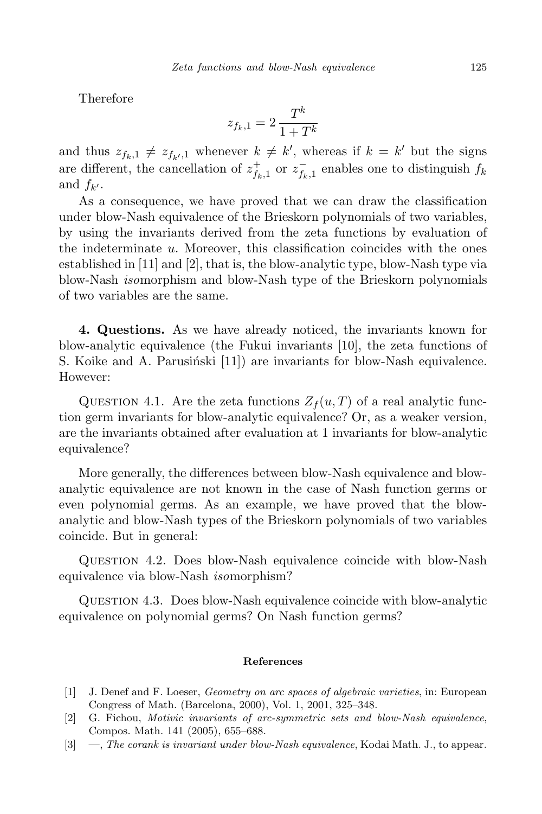Therefore

$$
z_{f_k,1} = 2\,\frac{T^k}{1+T^k}
$$

and thus  $z_{f_k,1} \neq z_{f_{k'},1}$  whenever  $k \neq k'$ , whereas if  $k = k'$  but the signs are different, the cancellation of  $z_{f_i}^+$  $f_{k,1}$  or  $z_{f_k}^$  $f_{k,1}$  enables one to distinguish  $f_k$ and  $f_{k'}$ .

As a consequence, we have proved that we can draw the classification under blow-Nash equivalence of the Brieskorn polynomials of two variables, by using the invariants derived from the zeta functions by evaluation of the indeterminate  $u$ . Moreover, this classification coincides with the ones established in [11] and [2], that is, the blow-analytic type, blow-Nash type via blow-Nash isomorphism and blow-Nash type of the Brieskorn polynomials of two variables are the same.

4. Questions. As we have already noticed, the invariants known for blow-analytic equivalence (the Fukui invariants [10], the zeta functions of S. Koike and A. Parusinski  $[11]$  are invariants for blow-Nash equivalence. However:

QUESTION 4.1. Are the zeta functions  $Z_f(u,T)$  of a real analytic function germ invariants for blow-analytic equivalence? Or, as a weaker version, are the invariants obtained after evaluation at 1 invariants for blow-analytic equivalence?

More generally, the differences between blow-Nash equivalence and blowanalytic equivalence are not known in the case of Nash function germs or even polynomial germs. As an example, we have proved that the blowanalytic and blow-Nash types of the Brieskorn polynomials of two variables coincide. But in general:

Question 4.2. Does blow-Nash equivalence coincide with blow-Nash equivalence via blow-Nash isomorphism?

QUESTION 4.3. Does blow-Nash equivalence coincide with blow-analytic equivalence on polynomial germs? On Nash function germs?

## References

- [1] J. Denef and F. Loeser, Geometry on arc spaces of algebraic varieties, in: European Congress of Math. (Barcelona, 2000), Vol. 1, 2001, 325–348.
- [2] G. Fichou, Motivic invariants of arc-symmetric sets and blow-Nash equivalence, Compos. Math. 141 (2005), 655–688.
- [3] —, The corank is invariant under blow-Nash equivalence, Kodai Math. J., to appear.